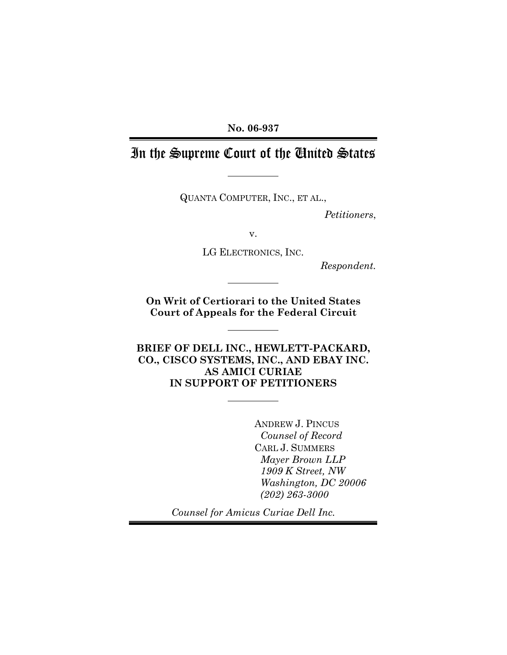No. 06-937

# In the Supreme Court of the United States

QUANTA COMPUTER, INC., ET AL.,

Petitioners,

v.

LG ELECTRONICS, INC.

Respondent.

On Writ of Certiorari to the United States Court of Appeals for the Federal Circuit

BRIEF OF DELL INC., HEWLETT-PACKARD, CO., CISCO SYSTEMS, INC., AND EBAY INC. AS AMICI CURIAE IN SUPPORT OF PETITIONERS

> ANDREW J. PINCUS Counsel of Record CARL J. SUMMERS Mayer Brown LLP 1909 K Street, NW Washington, DC 20006 (202) 263-3000

Counsel for Amicus Curiae Dell Inc.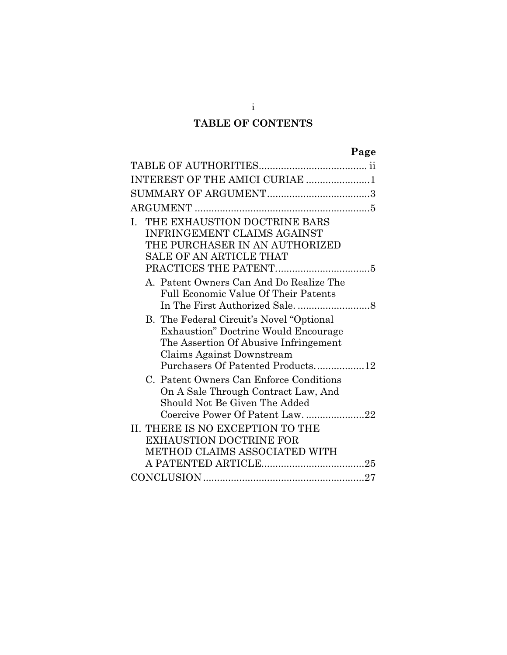# TABLE OF CONTENTS

| INTEREST OF THE AMICI CURIAE 1                                                                                                                                                                       |
|------------------------------------------------------------------------------------------------------------------------------------------------------------------------------------------------------|
|                                                                                                                                                                                                      |
|                                                                                                                                                                                                      |
| I. THE EXHAUSTION DOCTRINE BARS<br>INFRINGEMENT CLAIMS AGAINST<br>THE PURCHASER IN AN AUTHORIZED<br><b>SALE OF AN ARTICLE THAT</b>                                                                   |
| A. Patent Owners Can And Do Realize The<br><b>Full Economic Value Of Their Patents</b>                                                                                                               |
| B. The Federal Circuit's Novel "Optional"<br><b>Exhaustion</b> " Doctrine Would Encourage<br>The Assertion Of Abusive Infringement<br>Claims Against Downstream<br>Purchasers Of Patented Products12 |
| C. Patent Owners Can Enforce Conditions<br>On A Sale Through Contract Law, And<br>Should Not Be Given The Added<br>Coercive Power Of Patent Law. 22                                                  |
| II. THERE IS NO EXCEPTION TO THE<br><b>EXHAUSTION DOCTRINE FOR</b><br>METHOD CLAIMS ASSOCIATED WITH                                                                                                  |
|                                                                                                                                                                                                      |

i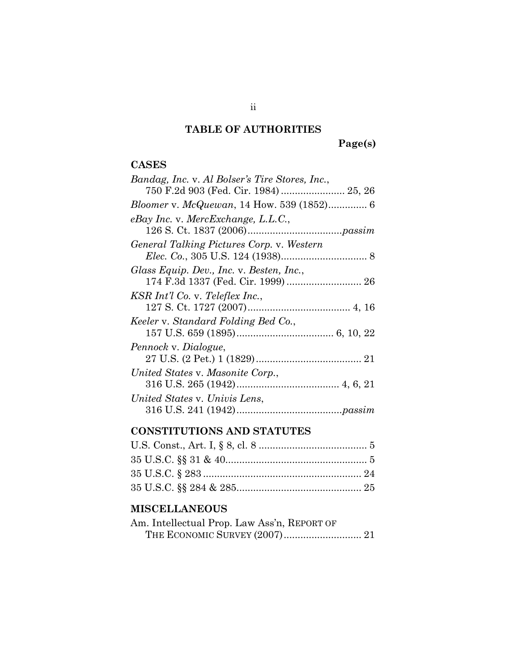# TABLE OF AUTHORITIES

Page(s)

## CASES

# CONSTITUTIONS AND STATUTES

# MISCELLANEOUS

| Am. Intellectual Prop. Law Ass'n, REPORT OF |  |
|---------------------------------------------|--|
|                                             |  |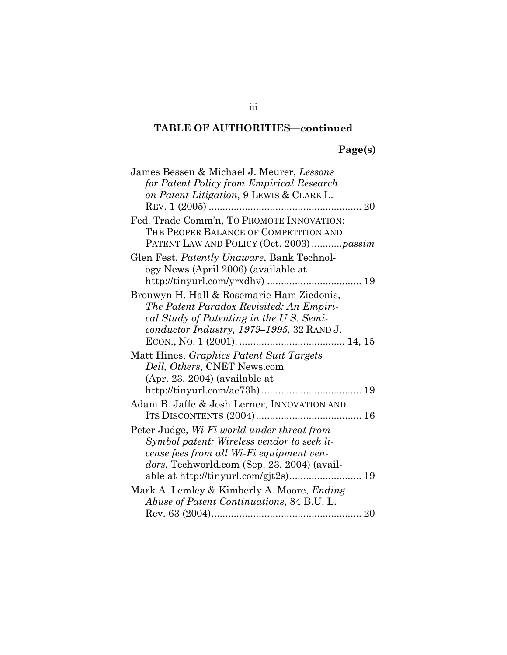# TABLE OF AUTHORITIES—continued

# Page(s)

| James Bessen & Michael J. Meurer, Lessons          |
|----------------------------------------------------|
| for Patent Policy from Empirical Research          |
| on Patent Litigation, 9 LEWIS & CLARK L.           |
|                                                    |
| Fed. Trade Comm'n, TO PROMOTE INNOVATION:          |
| THE PROPER BALANCE OF COMPETITION AND              |
| PATENT LAW AND POLICY (Oct. 2003) passim           |
| Glen Fest, <i>Patently Unaware</i> , Bank Technol- |
| ogy News (April 2006) (available at                |
|                                                    |
| Bronwyn H. Hall & Rosemarie Ham Ziedonis,          |
| The Patent Paradox Revisited: An Empiri-           |
| cal Study of Patenting in the U.S. Semi-           |
| conductor Industry, 1979–1995, 32 RAND J.          |
|                                                    |
| Matt Hines, Graphics Patent Suit Targets           |
| Dell, Others, CNET News.com                        |
| $(Apr. 23, 2004)$ (available at                    |
|                                                    |
| Adam B. Jaffe & Josh Lerner, INNOVATION AND        |
|                                                    |
| Peter Judge, Wi-Fi world under threat from         |
| Symbol patent: Wireless vendor to seek li-         |
| cense fees from all Wi-Fi equipment ven-           |
| dors, Techworld.com (Sep. 23, 2004) (avail-        |
|                                                    |
| Mark A. Lemley & Kimberly A. Moore, <i>Ending</i>  |
| Abuse of Patent Continuations, 84 B.U. L.          |
|                                                    |

iii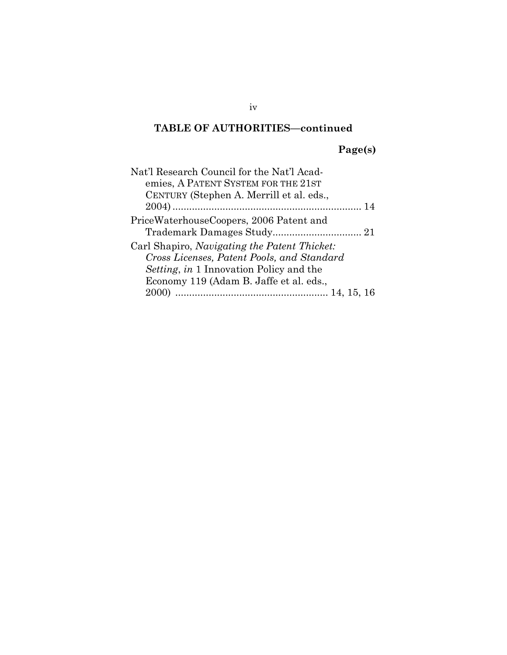# TABLE OF AUTHORITIES—continued

# Page(s)

| Nat'l Research Council for the Nat'l Acad-<br>emies, A PATENT SYSTEM FOR THE 21ST<br>CENTURY (Stephen A. Merrill et al. eds.,                                                           |  |
|-----------------------------------------------------------------------------------------------------------------------------------------------------------------------------------------|--|
|                                                                                                                                                                                         |  |
| PriceWaterhouseCoopers, 2006 Patent and                                                                                                                                                 |  |
| Carl Shapiro, Navigating the Patent Thicket:<br>Cross Licenses, Patent Pools, and Standard<br><i>Setting, in</i> 1 Innovation Policy and the<br>Economy 119 (Adam B. Jaffe et al. eds., |  |
|                                                                                                                                                                                         |  |

iv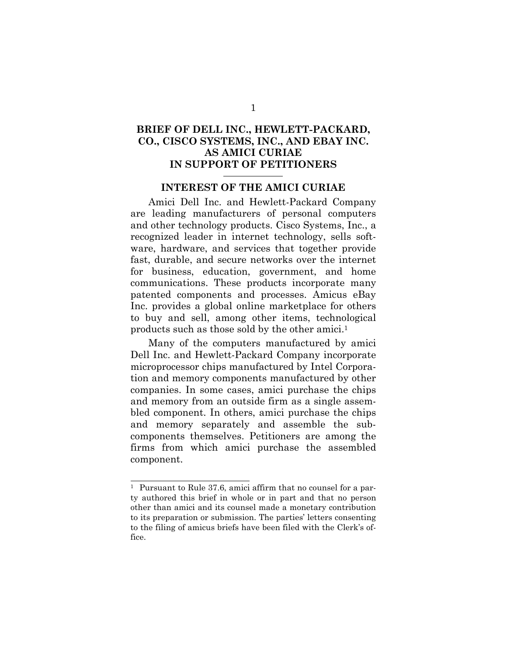## BRIEF OF DELL INC., HEWLETT-PACKARD, CO., CISCO SYSTEMS, INC., AND EBAY INC. AS AMICI CURIAE IN SUPPORT OF PETITIONERS

### INTEREST OF THE AMICI CURIAE

Amici Dell Inc. and Hewlett-Packard Company are leading manufacturers of personal computers and other technology products. Cisco Systems, Inc., a recognized leader in internet technology, sells software, hardware, and services that together provide fast, durable, and secure networks over the internet for business, education, government, and home communications. These products incorporate many patented components and processes. Amicus eBay Inc. provides a global online marketplace for others to buy and sell, among other items, technological products such as those sold by the other amici.<sup>1</sup>

Many of the computers manufactured by amici Dell Inc. and Hewlett-Packard Company incorporate microprocessor chips manufactured by Intel Corporation and memory components manufactured by other companies. In some cases, amici purchase the chips and memory from an outside firm as a single assembled component. In others, amici purchase the chips and memory separately and assemble the subcomponents themselves. Petitioners are among the firms from which amici purchase the assembled component.

<sup>1</sup> Pursuant to Rule 37.6, amici affirm that no counsel for a party authored this brief in whole or in part and that no person other than amici and its counsel made a monetary contribution to its preparation or submission. The parties' letters consenting to the filing of amicus briefs have been filed with the Clerk's office.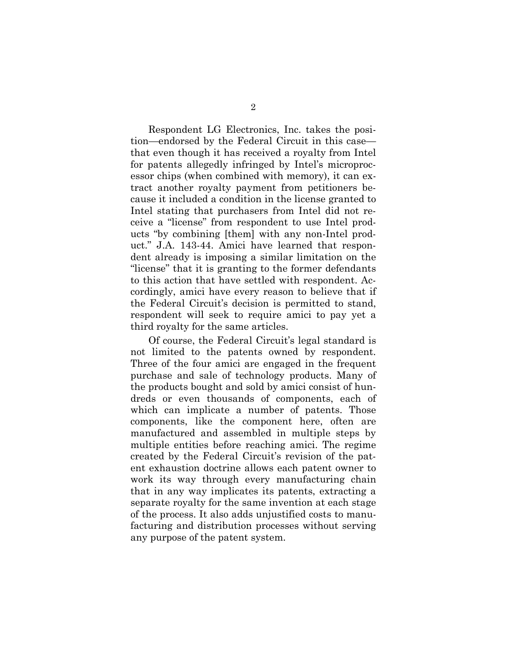Respondent LG Electronics, Inc. takes the position—endorsed by the Federal Circuit in this case that even though it has received a royalty from Intel for patents allegedly infringed by Intel's microprocessor chips (when combined with memory), it can extract another royalty payment from petitioners because it included a condition in the license granted to Intel stating that purchasers from Intel did not receive a "license" from respondent to use Intel products "by combining [them] with any non-Intel product." J.A. 143-44. Amici have learned that respondent already is imposing a similar limitation on the "license" that it is granting to the former defendants to this action that have settled with respondent. Accordingly, amici have every reason to believe that if the Federal Circuit's decision is permitted to stand, respondent will seek to require amici to pay yet a third royalty for the same articles.

Of course, the Federal Circuit's legal standard is not limited to the patents owned by respondent. Three of the four amici are engaged in the frequent purchase and sale of technology products. Many of the products bought and sold by amici consist of hundreds or even thousands of components, each of which can implicate a number of patents. Those components, like the component here, often are manufactured and assembled in multiple steps by multiple entities before reaching amici. The regime created by the Federal Circuit's revision of the patent exhaustion doctrine allows each patent owner to work its way through every manufacturing chain that in any way implicates its patents, extracting a separate royalty for the same invention at each stage of the process. It also adds unjustified costs to manufacturing and distribution processes without serving any purpose of the patent system.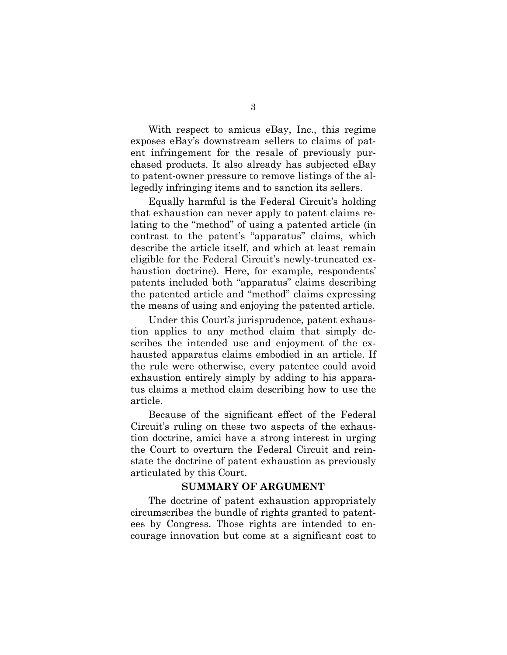With respect to amicus eBay, Inc., this regime exposes eBay's downstream sellers to claims of patent infringement for the resale of previously purchased products. It also already has subjected eBay to patent-owner pressure to remove listings of the allegedly infringing items and to sanction its sellers.

Equally harmful is the Federal Circuit's holding that exhaustion can never apply to patent claims relating to the "method" of using a patented article (in contrast to the patent's "apparatus" claims, which describe the article itself, and which at least remain eligible for the Federal Circuit's newly-truncated exhaustion doctrine). Here, for example, respondents' patents included both "apparatus" claims describing the patented article and "method" claims expressing the means of using and enjoying the patented article.

Under this Court's jurisprudence, patent exhaustion applies to any method claim that simply describes the intended use and enjoyment of the exhausted apparatus claims embodied in an article. If the rule were otherwise, every patentee could avoid exhaustion entirely simply by adding to his apparatus claims a method claim describing how to use the article.

Because of the significant effect of the Federal Circuit's ruling on these two aspects of the exhaustion doctrine, amici have a strong interest in urging the Court to overturn the Federal Circuit and reinstate the doctrine of patent exhaustion as previously articulated by this Court.

#### SUMMARY OF ARGUMENT

The doctrine of patent exhaustion appropriately circumscribes the bundle of rights granted to patentees by Congress. Those rights are intended to encourage innovation but come at a significant cost to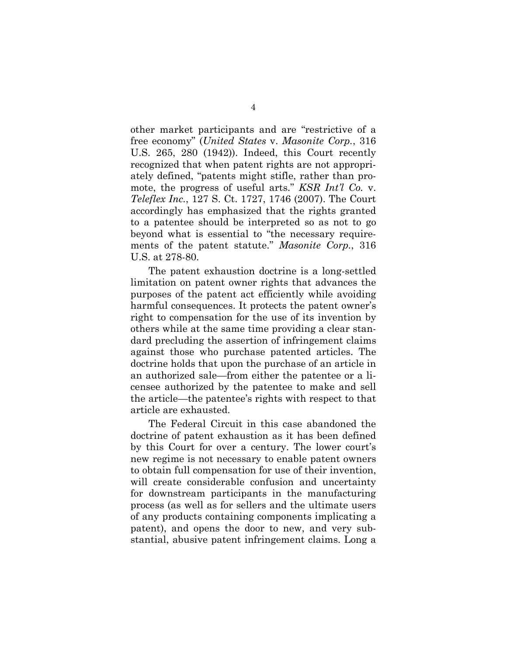other market participants and are "restrictive of a free economy" (United States v. Masonite Corp., 316 U.S. 265, 280 (1942)). Indeed, this Court recently recognized that when patent rights are not appropriately defined, "patents might stifle, rather than promote, the progress of useful arts." KSR Int'l Co. v. Teleflex Inc., 127 S. Ct. 1727, 1746 (2007). The Court accordingly has emphasized that the rights granted to a patentee should be interpreted so as not to go beyond what is essential to "the necessary requirements of the patent statute." Masonite Corp., 316 U.S. at 278-80.

The patent exhaustion doctrine is a long-settled limitation on patent owner rights that advances the purposes of the patent act efficiently while avoiding harmful consequences. It protects the patent owner's right to compensation for the use of its invention by others while at the same time providing a clear standard precluding the assertion of infringement claims against those who purchase patented articles. The doctrine holds that upon the purchase of an article in an authorized sale—from either the patentee or a licensee authorized by the patentee to make and sell the article—the patentee's rights with respect to that article are exhausted.

The Federal Circuit in this case abandoned the doctrine of patent exhaustion as it has been defined by this Court for over a century. The lower court's new regime is not necessary to enable patent owners to obtain full compensation for use of their invention, will create considerable confusion and uncertainty for downstream participants in the manufacturing process (as well as for sellers and the ultimate users of any products containing components implicating a patent), and opens the door to new, and very substantial, abusive patent infringement claims. Long a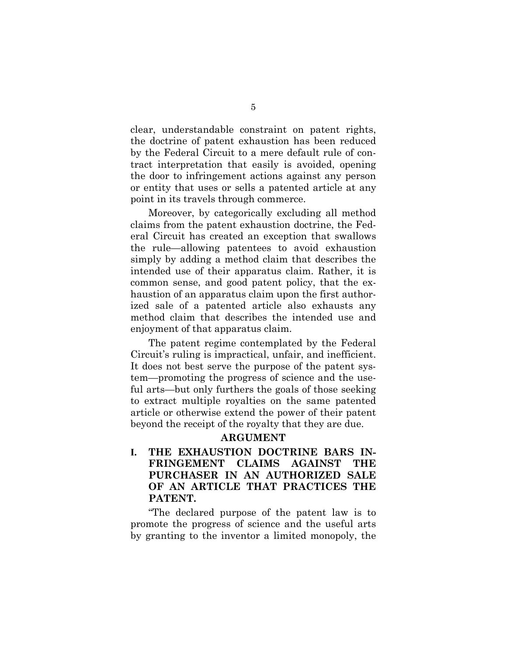clear, understandable constraint on patent rights, the doctrine of patent exhaustion has been reduced by the Federal Circuit to a mere default rule of contract interpretation that easily is avoided, opening the door to infringement actions against any person or entity that uses or sells a patented article at any point in its travels through commerce.

Moreover, by categorically excluding all method claims from the patent exhaustion doctrine, the Federal Circuit has created an exception that swallows the rule—allowing patentees to avoid exhaustion simply by adding a method claim that describes the intended use of their apparatus claim. Rather, it is common sense, and good patent policy, that the exhaustion of an apparatus claim upon the first authorized sale of a patented article also exhausts any method claim that describes the intended use and enjoyment of that apparatus claim.

The patent regime contemplated by the Federal Circuit's ruling is impractical, unfair, and inefficient. It does not best serve the purpose of the patent system—promoting the progress of science and the useful arts—but only furthers the goals of those seeking to extract multiple royalties on the same patented article or otherwise extend the power of their patent beyond the receipt of the royalty that they are due.

#### ARGUMENT

I. THE EXHAUSTION DOCTRINE BARS IN-FRINGEMENT CLAIMS AGAINST THE PURCHASER IN AN AUTHORIZED SALE OF AN ARTICLE THAT PRACTICES THE PATENT.

"The declared purpose of the patent law is to promote the progress of science and the useful arts by granting to the inventor a limited monopoly, the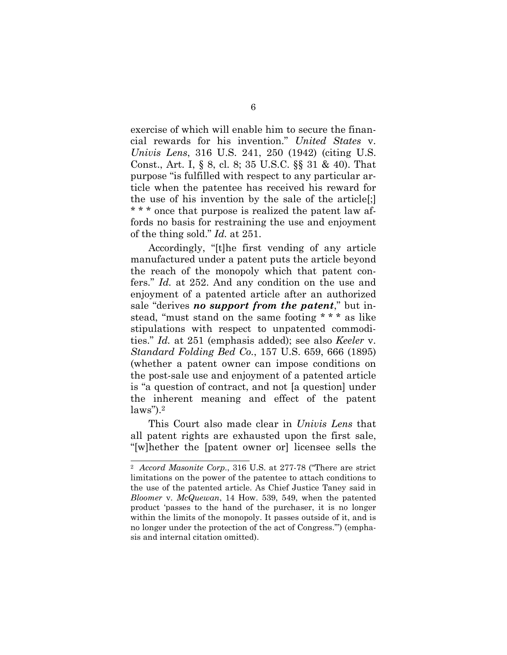exercise of which will enable him to secure the financial rewards for his invention." United States v. Univis Lens, 316 U.S. 241, 250 (1942) (citing U.S. Const., Art. I, § 8, cl. 8; 35 U.S.C. §§ 31 & 40). That purpose "is fulfilled with respect to any particular article when the patentee has received his reward for the use of his invention by the sale of the article[;] \* \* \* once that purpose is realized the patent law affords no basis for restraining the use and enjoyment of the thing sold." Id. at 251.

Accordingly, "[t]he first vending of any article manufactured under a patent puts the article beyond the reach of the monopoly which that patent confers." Id. at 252. And any condition on the use and enjoyment of a patented article after an authorized sale "derives no support from the patent," but instead, "must stand on the same footing \* \* \* as like stipulations with respect to unpatented commodities." Id. at 251 (emphasis added); see also Keeler v. Standard Folding Bed Co., 157 U.S. 659, 666 (1895) (whether a patent owner can impose conditions on the post-sale use and enjoyment of a patented article is "a question of contract, and not [a question] under the inherent meaning and effect of the patent  $laws$ ").<sup>2</sup>

This Court also made clear in Univis Lens that all patent rights are exhausted upon the first sale, "[w]hether the [patent owner or] licensee sells the

<sup>2</sup> Accord Masonite Corp., 316 U.S. at 277-78 ("There are strict limitations on the power of the patentee to attach conditions to the use of the patented article. As Chief Justice Taney said in Bloomer v. McQuewan, 14 How. 539, 549, when the patented product 'passes to the hand of the purchaser, it is no longer within the limits of the monopoly. It passes outside of it, and is no longer under the protection of the act of Congress.'") (emphasis and internal citation omitted).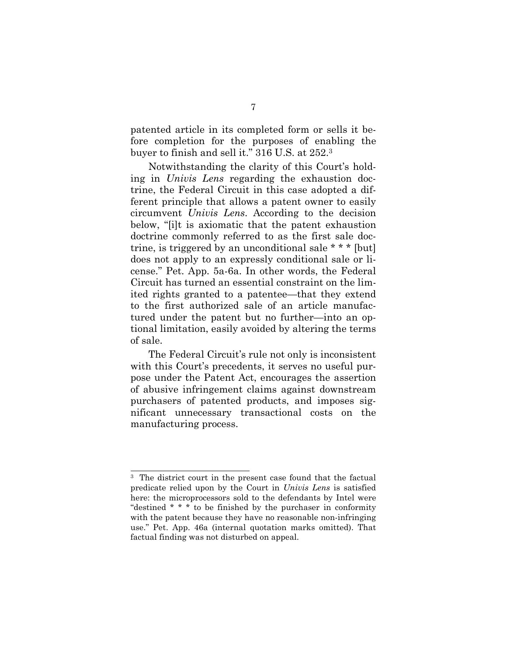patented article in its completed form or sells it before completion for the purposes of enabling the buyer to finish and sell it." 316 U.S. at 252.<sup>3</sup>

Notwithstanding the clarity of this Court's holding in Univis Lens regarding the exhaustion doctrine, the Federal Circuit in this case adopted a different principle that allows a patent owner to easily circumvent Univis Lens. According to the decision below, "[i]t is axiomatic that the patent exhaustion doctrine commonly referred to as the first sale doctrine, is triggered by an unconditional sale \* \* \* [but] does not apply to an expressly conditional sale or license." Pet. App. 5a-6a. In other words, the Federal Circuit has turned an essential constraint on the limited rights granted to a patentee—that they extend to the first authorized sale of an article manufactured under the patent but no further—into an optional limitation, easily avoided by altering the terms of sale.

The Federal Circuit's rule not only is inconsistent with this Court's precedents, it serves no useful purpose under the Patent Act, encourages the assertion of abusive infringement claims against downstream purchasers of patented products, and imposes significant unnecessary transactional costs on the manufacturing process.

<sup>3</sup> The district court in the present case found that the factual predicate relied upon by the Court in Univis Lens is satisfied here: the microprocessors sold to the defendants by Intel were "destined \* \* \* to be finished by the purchaser in conformity with the patent because they have no reasonable non-infringing use." Pet. App. 46a (internal quotation marks omitted). That factual finding was not disturbed on appeal.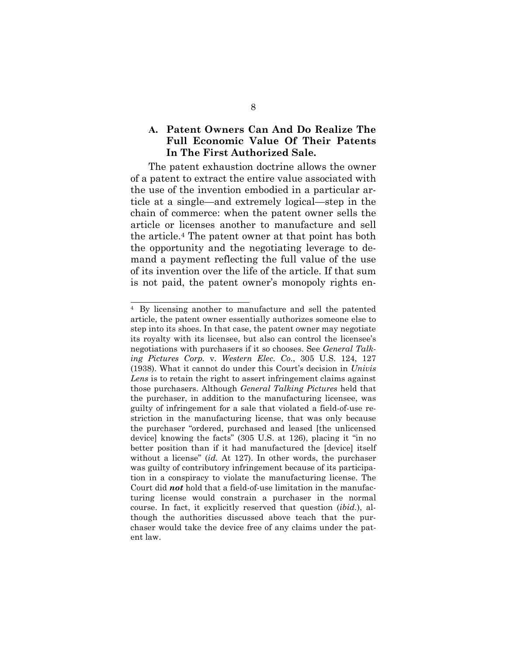## A. Patent Owners Can And Do Realize The Full Economic Value Of Their Patents In The First Authorized Sale.

The patent exhaustion doctrine allows the owner of a patent to extract the entire value associated with the use of the invention embodied in a particular article at a single—and extremely logical—step in the chain of commerce: when the patent owner sells the article or licenses another to manufacture and sell the article.4 The patent owner at that point has both the opportunity and the negotiating leverage to demand a payment reflecting the full value of the use of its invention over the life of the article. If that sum is not paid, the patent owner's monopoly rights en-

<sup>4</sup> By licensing another to manufacture and sell the patented article, the patent owner essentially authorizes someone else to step into its shoes. In that case, the patent owner may negotiate its royalty with its licensee, but also can control the licensee's negotiations with purchasers if it so chooses. See General Talking Pictures Corp. v. Western Elec. Co., 305 U.S. 124, 127 (1938). What it cannot do under this Court's decision in Univis Lens is to retain the right to assert infringement claims against those purchasers. Although General Talking Pictures held that the purchaser, in addition to the manufacturing licensee, was guilty of infringement for a sale that violated a field-of-use restriction in the manufacturing license, that was only because the purchaser "ordered, purchased and leased [the unlicensed device] knowing the facts" (305 U.S. at 126), placing it "in no better position than if it had manufactured the [device] itself without a license" (id. At 127). In other words, the purchaser was guilty of contributory infringement because of its participation in a conspiracy to violate the manufacturing license. The Court did not hold that a field-of-use limitation in the manufacturing license would constrain a purchaser in the normal course. In fact, it explicitly reserved that question (ibid.), although the authorities discussed above teach that the purchaser would take the device free of any claims under the patent law.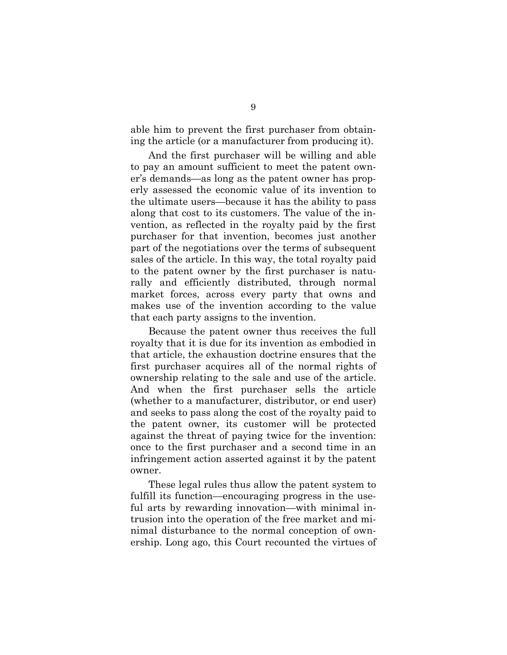able him to prevent the first purchaser from obtaining the article (or a manufacturer from producing it).

And the first purchaser will be willing and able to pay an amount sufficient to meet the patent owner's demands—as long as the patent owner has properly assessed the economic value of its invention to the ultimate users—because it has the ability to pass along that cost to its customers. The value of the invention, as reflected in the royalty paid by the first purchaser for that invention, becomes just another part of the negotiations over the terms of subsequent sales of the article. In this way, the total royalty paid to the patent owner by the first purchaser is naturally and efficiently distributed, through normal market forces, across every party that owns and makes use of the invention according to the value that each party assigns to the invention.

Because the patent owner thus receives the full royalty that it is due for its invention as embodied in that article, the exhaustion doctrine ensures that the first purchaser acquires all of the normal rights of ownership relating to the sale and use of the article. And when the first purchaser sells the article (whether to a manufacturer, distributor, or end user) and seeks to pass along the cost of the royalty paid to the patent owner, its customer will be protected against the threat of paying twice for the invention: once to the first purchaser and a second time in an infringement action asserted against it by the patent owner.

These legal rules thus allow the patent system to fulfill its function—encouraging progress in the useful arts by rewarding innovation—with minimal intrusion into the operation of the free market and minimal disturbance to the normal conception of ownership. Long ago, this Court recounted the virtues of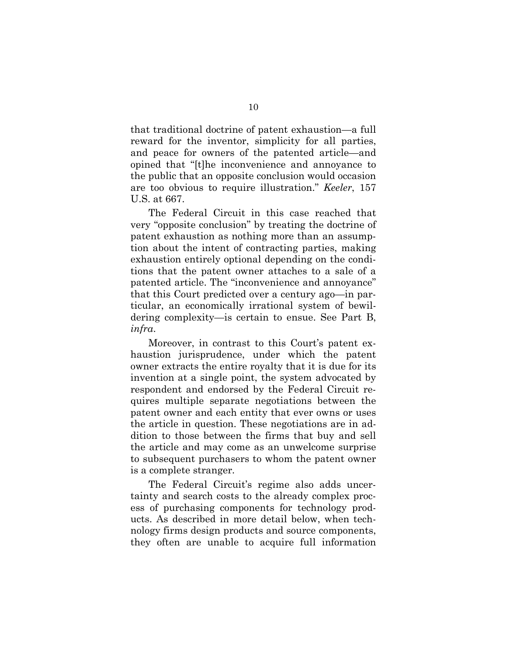that traditional doctrine of patent exhaustion—a full reward for the inventor, simplicity for all parties, and peace for owners of the patented article—and opined that "[t]he inconvenience and annoyance to the public that an opposite conclusion would occasion are too obvious to require illustration." Keeler, 157 U.S. at 667.

The Federal Circuit in this case reached that very "opposite conclusion" by treating the doctrine of patent exhaustion as nothing more than an assumption about the intent of contracting parties, making exhaustion entirely optional depending on the conditions that the patent owner attaches to a sale of a patented article. The "inconvenience and annoyance" that this Court predicted over a century ago—in particular, an economically irrational system of bewildering complexity—is certain to ensue. See Part B, infra.

Moreover, in contrast to this Court's patent exhaustion jurisprudence, under which the patent owner extracts the entire royalty that it is due for its invention at a single point, the system advocated by respondent and endorsed by the Federal Circuit requires multiple separate negotiations between the patent owner and each entity that ever owns or uses the article in question. These negotiations are in addition to those between the firms that buy and sell the article and may come as an unwelcome surprise to subsequent purchasers to whom the patent owner is a complete stranger.

The Federal Circuit's regime also adds uncertainty and search costs to the already complex process of purchasing components for technology products. As described in more detail below, when technology firms design products and source components, they often are unable to acquire full information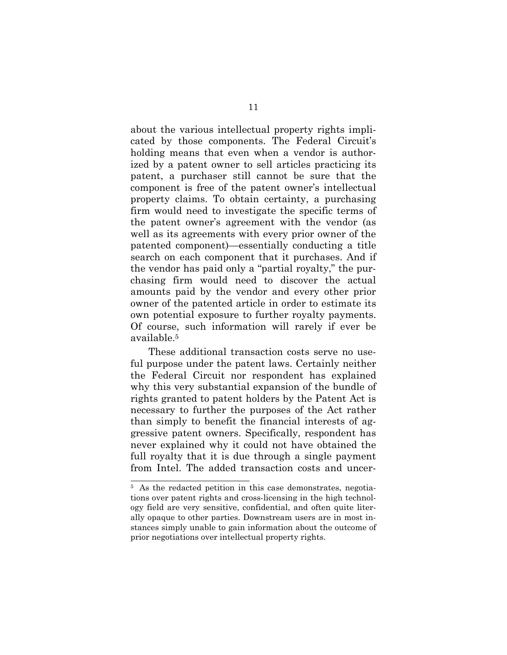about the various intellectual property rights implicated by those components. The Federal Circuit's holding means that even when a vendor is authorized by a patent owner to sell articles practicing its patent, a purchaser still cannot be sure that the component is free of the patent owner's intellectual property claims. To obtain certainty, a purchasing firm would need to investigate the specific terms of the patent owner's agreement with the vendor (as well as its agreements with every prior owner of the patented component)—essentially conducting a title search on each component that it purchases. And if the vendor has paid only a "partial royalty," the purchasing firm would need to discover the actual amounts paid by the vendor and every other prior owner of the patented article in order to estimate its own potential exposure to further royalty payments. Of course, such information will rarely if ever be available.<sup>5</sup>

These additional transaction costs serve no useful purpose under the patent laws. Certainly neither the Federal Circuit nor respondent has explained why this very substantial expansion of the bundle of rights granted to patent holders by the Patent Act is necessary to further the purposes of the Act rather than simply to benefit the financial interests of aggressive patent owners. Specifically, respondent has never explained why it could not have obtained the full royalty that it is due through a single payment from Intel. The added transaction costs and uncer-

<sup>&</sup>lt;sup>5</sup> As the redacted petition in this case demonstrates, negotiations over patent rights and cross-licensing in the high technology field are very sensitive, confidential, and often quite literally opaque to other parties. Downstream users are in most instances simply unable to gain information about the outcome of prior negotiations over intellectual property rights.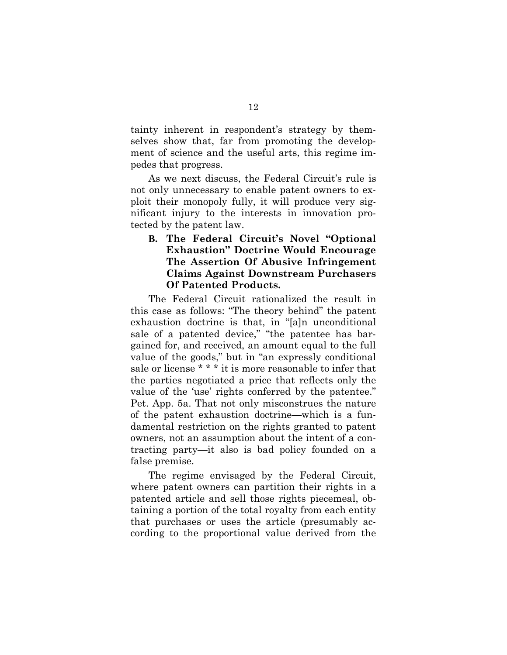tainty inherent in respondent's strategy by themselves show that, far from promoting the development of science and the useful arts, this regime impedes that progress.

As we next discuss, the Federal Circuit's rule is not only unnecessary to enable patent owners to exploit their monopoly fully, it will produce very significant injury to the interests in innovation protected by the patent law.

## B. The Federal Circuit's Novel "Optional Exhaustion" Doctrine Would Encourage The Assertion Of Abusive Infringement Claims Against Downstream Purchasers Of Patented Products.

The Federal Circuit rationalized the result in this case as follows: "The theory behind" the patent exhaustion doctrine is that, in "[a]n unconditional sale of a patented device," "the patentee has bargained for, and received, an amount equal to the full value of the goods," but in "an expressly conditional sale or license \* \* \* it is more reasonable to infer that the parties negotiated a price that reflects only the value of the 'use' rights conferred by the patentee." Pet. App. 5a. That not only misconstrues the nature of the patent exhaustion doctrine—which is a fundamental restriction on the rights granted to patent owners, not an assumption about the intent of a contracting party—it also is bad policy founded on a false premise.

The regime envisaged by the Federal Circuit, where patent owners can partition their rights in a patented article and sell those rights piecemeal, obtaining a portion of the total royalty from each entity that purchases or uses the article (presumably according to the proportional value derived from the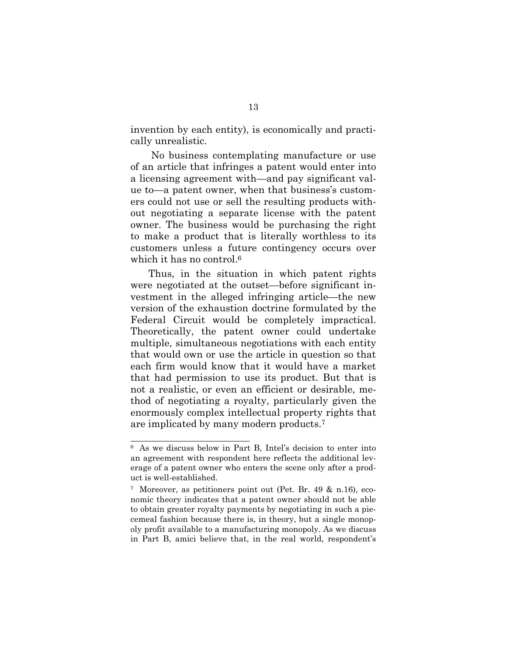invention by each entity), is economically and practically unrealistic.

 No business contemplating manufacture or use of an article that infringes a patent would enter into a licensing agreement with—and pay significant value to—a patent owner, when that business's customers could not use or sell the resulting products without negotiating a separate license with the patent owner. The business would be purchasing the right to make a product that is literally worthless to its customers unless a future contingency occurs over which it has no control.<sup>6</sup>

Thus, in the situation in which patent rights were negotiated at the outset—before significant investment in the alleged infringing article—the new version of the exhaustion doctrine formulated by the Federal Circuit would be completely impractical. Theoretically, the patent owner could undertake multiple, simultaneous negotiations with each entity that would own or use the article in question so that each firm would know that it would have a market that had permission to use its product. But that is not a realistic, or even an efficient or desirable, method of negotiating a royalty, particularly given the enormously complex intellectual property rights that are implicated by many modern products.<sup>7</sup>

<sup>6</sup> As we discuss below in Part B, Intel's decision to enter into an agreement with respondent here reflects the additional leverage of a patent owner who enters the scene only after a product is well-established.

<sup>7</sup> Moreover, as petitioners point out (Pet. Br. 49 & n.16), economic theory indicates that a patent owner should not be able to obtain greater royalty payments by negotiating in such a piecemeal fashion because there is, in theory, but a single monopoly profit available to a manufacturing monopoly. As we discuss in Part B, amici believe that, in the real world, respondent's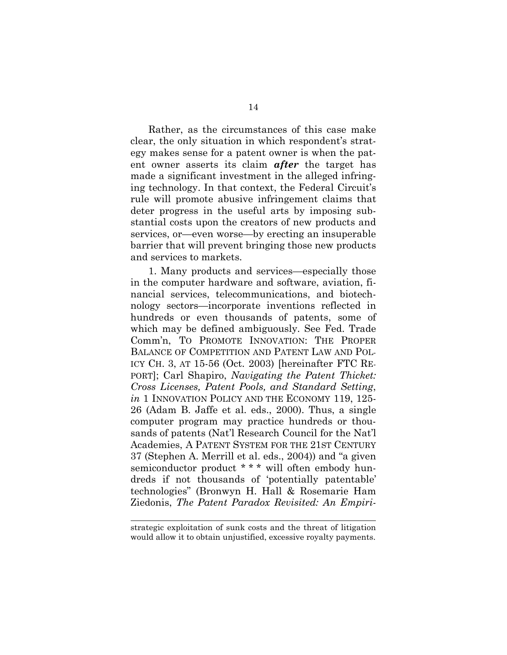Rather, as the circumstances of this case make clear, the only situation in which respondent's strategy makes sense for a patent owner is when the patent owner asserts its claim **after** the target has made a significant investment in the alleged infringing technology. In that context, the Federal Circuit's rule will promote abusive infringement claims that deter progress in the useful arts by imposing substantial costs upon the creators of new products and services, or—even worse—by erecting an insuperable barrier that will prevent bringing those new products and services to markets.

1. Many products and services—especially those in the computer hardware and software, aviation, financial services, telecommunications, and biotechnology sectors—incorporate inventions reflected in hundreds or even thousands of patents, some of which may be defined ambiguously. See Fed. Trade Comm'n, TO PROMOTE INNOVATION: THE PROPER BALANCE OF COMPETITION AND PATENT LAW AND POL-ICY CH. 3, AT 15-56 (Oct. 2003) [hereinafter FTC RE-PORT]; Carl Shapiro, Navigating the Patent Thicket: Cross Licenses, Patent Pools, and Standard Setting, in 1 INNOVATION POLICY AND THE ECONOMY 119, 125-26 (Adam B. Jaffe et al. eds., 2000). Thus, a single computer program may practice hundreds or thousands of patents (Nat'l Research Council for the Nat'l Academies, A PATENT SYSTEM FOR THE 21ST CENTURY 37 (Stephen A. Merrill et al. eds., 2004)) and "a given semiconductor product \* \* \* will often embody hundreds if not thousands of 'potentially patentable' technologies" (Bronwyn H. Hall & Rosemarie Ham Ziedonis, The Patent Paradox Revisited: An Empiri-

strategic exploitation of sunk costs and the threat of litigation would allow it to obtain unjustified, excessive royalty payments.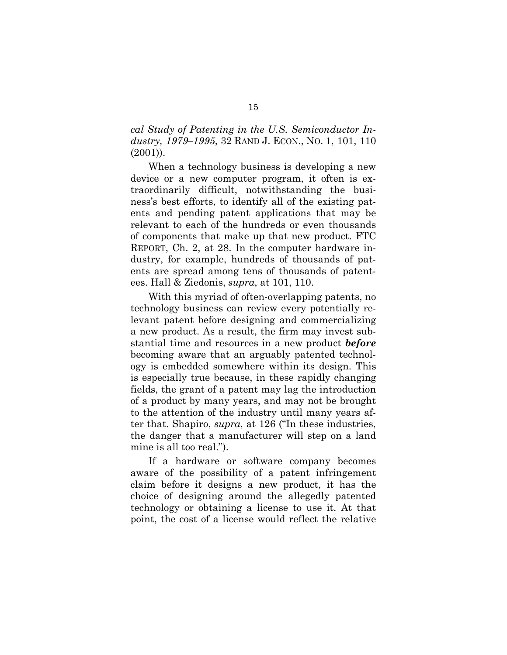cal Study of Patenting in the U.S. Semiconductor Industry, 1979–1995, 32 RAND J. ECON., NO. 1, 101, 110 (2001)).

When a technology business is developing a new device or a new computer program, it often is extraordinarily difficult, notwithstanding the business's best efforts, to identify all of the existing patents and pending patent applications that may be relevant to each of the hundreds or even thousands of components that make up that new product. FTC REPORT, Ch. 2, at 28. In the computer hardware industry, for example, hundreds of thousands of patents are spread among tens of thousands of patentees. Hall & Ziedonis, supra, at 101, 110.

With this myriad of often-overlapping patents, no technology business can review every potentially relevant patent before designing and commercializing a new product. As a result, the firm may invest substantial time and resources in a new product **before** becoming aware that an arguably patented technology is embedded somewhere within its design. This is especially true because, in these rapidly changing fields, the grant of a patent may lag the introduction of a product by many years, and may not be brought to the attention of the industry until many years after that. Shapiro, supra, at 126 ("In these industries, the danger that a manufacturer will step on a land mine is all too real.").

If a hardware or software company becomes aware of the possibility of a patent infringement claim before it designs a new product, it has the choice of designing around the allegedly patented technology or obtaining a license to use it. At that point, the cost of a license would reflect the relative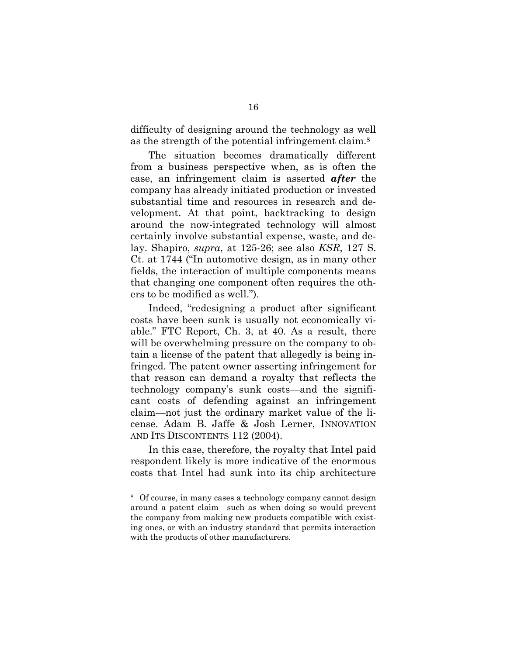difficulty of designing around the technology as well as the strength of the potential infringement claim.<sup>8</sup>

The situation becomes dramatically different from a business perspective when, as is often the case, an infringement claim is asserted after the company has already initiated production or invested substantial time and resources in research and development. At that point, backtracking to design around the now-integrated technology will almost certainly involve substantial expense, waste, and delay. Shapiro, supra, at 125-26; see also KSR, 127 S. Ct. at 1744 ("In automotive design, as in many other fields, the interaction of multiple components means that changing one component often requires the others to be modified as well.").

Indeed, "redesigning a product after significant costs have been sunk is usually not economically viable." FTC Report, Ch. 3, at 40. As a result, there will be overwhelming pressure on the company to obtain a license of the patent that allegedly is being infringed. The patent owner asserting infringement for that reason can demand a royalty that reflects the technology company's sunk costs—and the significant costs of defending against an infringement claim—not just the ordinary market value of the license. Adam B. Jaffe & Josh Lerner, INNOVATION AND ITS DISCONTENTS 112 (2004).

In this case, therefore, the royalty that Intel paid respondent likely is more indicative of the enormous costs that Intel had sunk into its chip architecture

<sup>8</sup> Of course, in many cases a technology company cannot design around a patent claim—such as when doing so would prevent the company from making new products compatible with existing ones, or with an industry standard that permits interaction with the products of other manufacturers.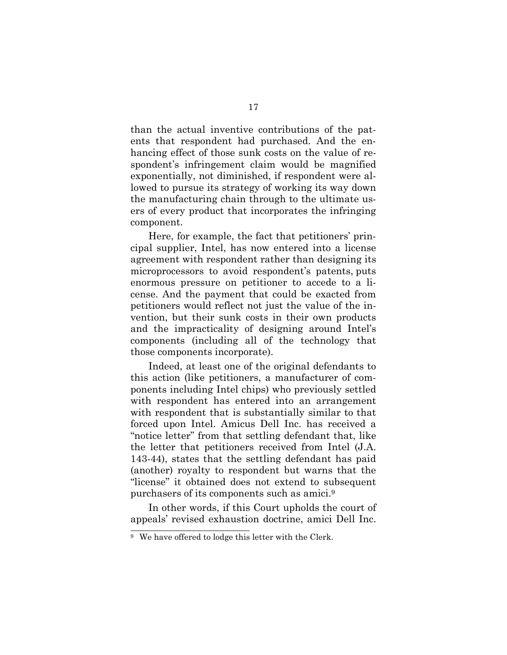than the actual inventive contributions of the patents that respondent had purchased. And the enhancing effect of those sunk costs on the value of respondent's infringement claim would be magnified exponentially, not diminished, if respondent were allowed to pursue its strategy of working its way down the manufacturing chain through to the ultimate users of every product that incorporates the infringing component.

Here, for example, the fact that petitioners' principal supplier, Intel, has now entered into a license agreement with respondent rather than designing its microprocessors to avoid respondent's patents, puts enormous pressure on petitioner to accede to a license. And the payment that could be exacted from petitioners would reflect not just the value of the invention, but their sunk costs in their own products and the impracticality of designing around Intel's components (including all of the technology that those components incorporate).

Indeed, at least one of the original defendants to this action (like petitioners, a manufacturer of components including Intel chips) who previously settled with respondent has entered into an arrangement with respondent that is substantially similar to that forced upon Intel. Amicus Dell Inc. has received a "notice letter" from that settling defendant that, like the letter that petitioners received from Intel (J.A. 143-44), states that the settling defendant has paid (another) royalty to respondent but warns that the "license" it obtained does not extend to subsequent purchasers of its components such as amici.<sup>9</sup>

In other words, if this Court upholds the court of appeals' revised exhaustion doctrine, amici Dell Inc.

 $9$  We have offered to lodge this letter with the Clerk.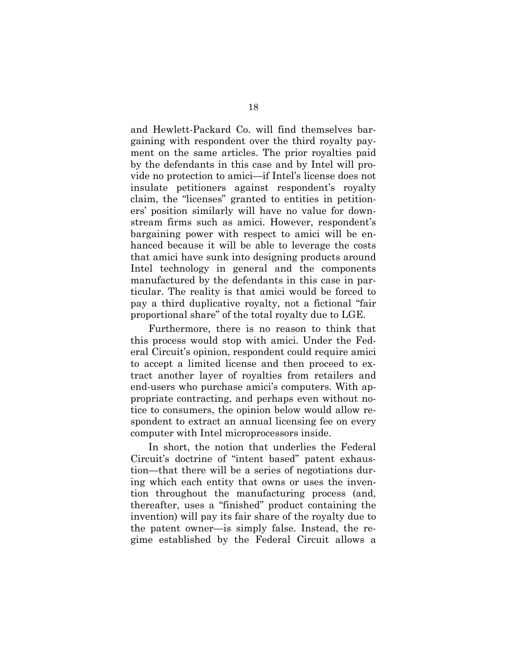and Hewlett-Packard Co. will find themselves bargaining with respondent over the third royalty payment on the same articles. The prior royalties paid by the defendants in this case and by Intel will provide no protection to amici—if Intel's license does not insulate petitioners against respondent's royalty claim, the "licenses" granted to entities in petitioners' position similarly will have no value for downstream firms such as amici. However, respondent's bargaining power with respect to amici will be enhanced because it will be able to leverage the costs that amici have sunk into designing products around Intel technology in general and the components manufactured by the defendants in this case in particular. The reality is that amici would be forced to pay a third duplicative royalty, not a fictional "fair proportional share" of the total royalty due to LGE.

Furthermore, there is no reason to think that this process would stop with amici. Under the Federal Circuit's opinion, respondent could require amici to accept a limited license and then proceed to extract another layer of royalties from retailers and end-users who purchase amici's computers. With appropriate contracting, and perhaps even without notice to consumers, the opinion below would allow respondent to extract an annual licensing fee on every computer with Intel microprocessors inside.

In short, the notion that underlies the Federal Circuit's doctrine of "intent based" patent exhaustion—that there will be a series of negotiations during which each entity that owns or uses the invention throughout the manufacturing process (and, thereafter, uses a "finished" product containing the invention) will pay its fair share of the royalty due to the patent owner—is simply false. Instead, the regime established by the Federal Circuit allows a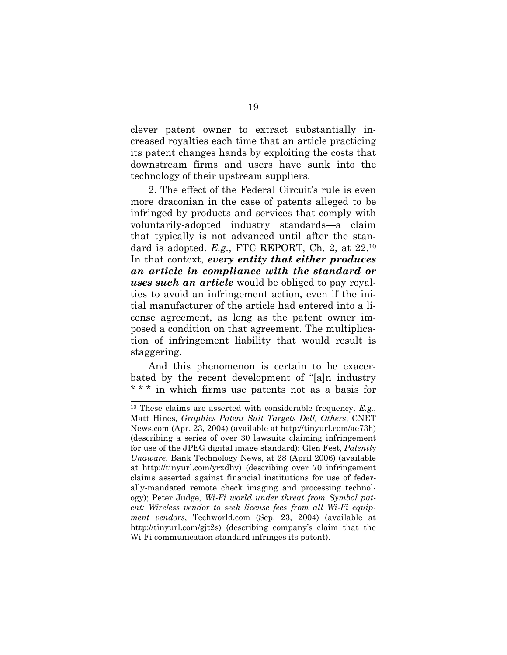clever patent owner to extract substantially increased royalties each time that an article practicing its patent changes hands by exploiting the costs that downstream firms and users have sunk into the technology of their upstream suppliers.

2. The effect of the Federal Circuit's rule is even more draconian in the case of patents alleged to be infringed by products and services that comply with voluntarily-adopted industry standards—a claim that typically is not advanced until after the standard is adopted. E.g., FTC REPORT, Ch. 2, at 22.<sup>10</sup> In that context, every entity that either produces an article in compliance with the standard or uses such an article would be obliged to pay royalties to avoid an infringement action, even if the initial manufacturer of the article had entered into a license agreement, as long as the patent owner imposed a condition on that agreement. The multiplication of infringement liability that would result is staggering.

And this phenomenon is certain to be exacerbated by the recent development of "[a]n industry \* \* \* in which firms use patents not as a basis for

 $10$  These claims are asserted with considerable frequency. E.g., Matt Hines, Graphics Patent Suit Targets Dell, Others, CNET News.com (Apr. 23, 2004) (available at http://tinyurl.com/ae73h) (describing a series of over 30 lawsuits claiming infringement for use of the JPEG digital image standard); Glen Fest, Patently Unaware, Bank Technology News, at 28 (April 2006) (available at http://tinyurl.com/yrxdhv) (describing over 70 infringement claims asserted against financial institutions for use of federally-mandated remote check imaging and processing technology); Peter Judge, Wi-Fi world under threat from Symbol patent: Wireless vendor to seek license fees from all Wi-Fi equipment vendors, Techworld.com (Sep. 23, 2004) (available at http://tinyurl.com/gjt2s) (describing company's claim that the Wi-Fi communication standard infringes its patent).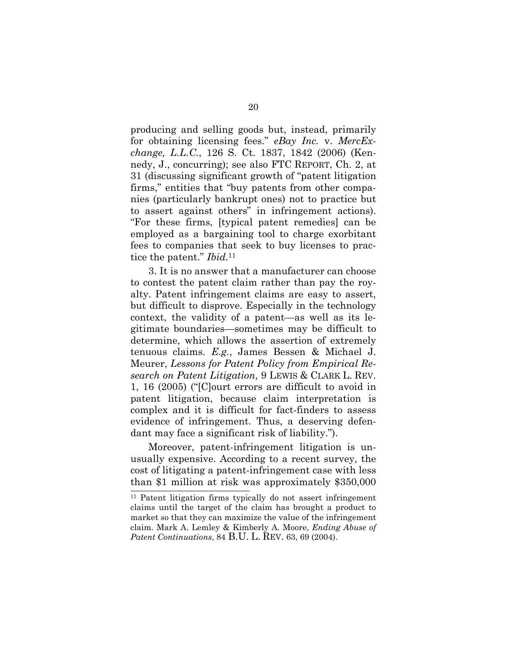producing and selling goods but, instead, primarily for obtaining licensing fees." eBay Inc. v. MercExchange, L.L.C., 126 S. Ct. 1837, 1842 (2006) (Kennedy, J., concurring); see also FTC REPORT, Ch. 2, at 31 (discussing significant growth of "patent litigation firms," entities that "buy patents from other companies (particularly bankrupt ones) not to practice but to assert against others" in infringement actions). "For these firms, [typical patent remedies] can be employed as a bargaining tool to charge exorbitant fees to companies that seek to buy licenses to practice the patent." *Ibid*.<sup>11</sup>

3. It is no answer that a manufacturer can choose to contest the patent claim rather than pay the royalty. Patent infringement claims are easy to assert, but difficult to disprove. Especially in the technology context, the validity of a patent—as well as its legitimate boundaries—sometimes may be difficult to determine, which allows the assertion of extremely tenuous claims. E.g., James Bessen & Michael J. Meurer, Lessons for Patent Policy from Empirical Research on Patent Litigation, 9 LEWIS & CLARK L. REV. 1, 16 (2005) ("[C]ourt errors are difficult to avoid in patent litigation, because claim interpretation is complex and it is difficult for fact-finders to assess evidence of infringement. Thus, a deserving defendant may face a significant risk of liability.").

Moreover, patent-infringement litigation is unusually expensive. According to a recent survey, the cost of litigating a patent-infringement case with less than \$1 million at risk was approximately \$350,000

<sup>11</sup> Patent litigation firms typically do not assert infringement claims until the target of the claim has brought a product to market so that they can maximize the value of the infringement claim. Mark A. Lemley & Kimberly A. Moore, Ending Abuse of Patent Continuations, 84 B.U. L. REV. 63, 69 (2004).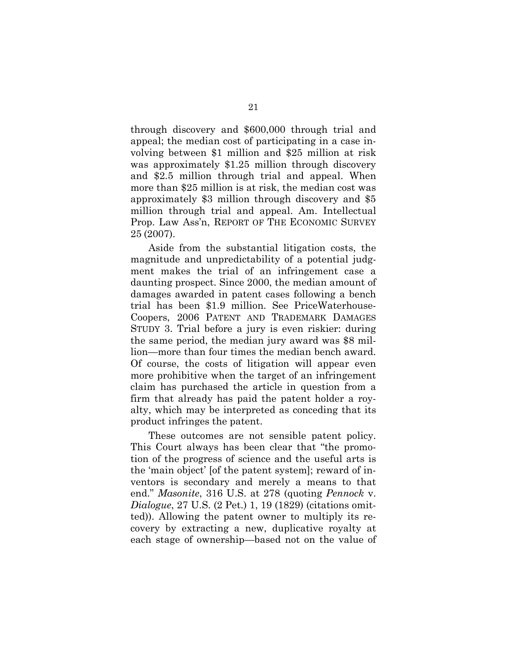through discovery and \$600,000 through trial and appeal; the median cost of participating in a case involving between \$1 million and \$25 million at risk was approximately \$1.25 million through discovery and \$2.5 million through trial and appeal. When more than \$25 million is at risk, the median cost was approximately \$3 million through discovery and \$5 million through trial and appeal. Am. Intellectual Prop. Law Ass'n, REPORT OF THE ECONOMIC SURVEY 25 (2007).

Aside from the substantial litigation costs, the magnitude and unpredictability of a potential judgment makes the trial of an infringement case a daunting prospect. Since 2000, the median amount of damages awarded in patent cases following a bench trial has been \$1.9 million. See PriceWaterhouse-Coopers, 2006 PATENT AND TRADEMARK DAMAGES STUDY 3. Trial before a jury is even riskier: during the same period, the median jury award was \$8 million—more than four times the median bench award. Of course, the costs of litigation will appear even more prohibitive when the target of an infringement claim has purchased the article in question from a firm that already has paid the patent holder a royalty, which may be interpreted as conceding that its product infringes the patent.

These outcomes are not sensible patent policy. This Court always has been clear that "the promotion of the progress of science and the useful arts is the 'main object' [of the patent system]; reward of inventors is secondary and merely a means to that end." Masonite, 316 U.S. at 278 (quoting Pennock v. Dialogue, 27 U.S. (2 Pet.) 1, 19 (1829) (citations omitted)). Allowing the patent owner to multiply its recovery by extracting a new, duplicative royalty at each stage of ownership—based not on the value of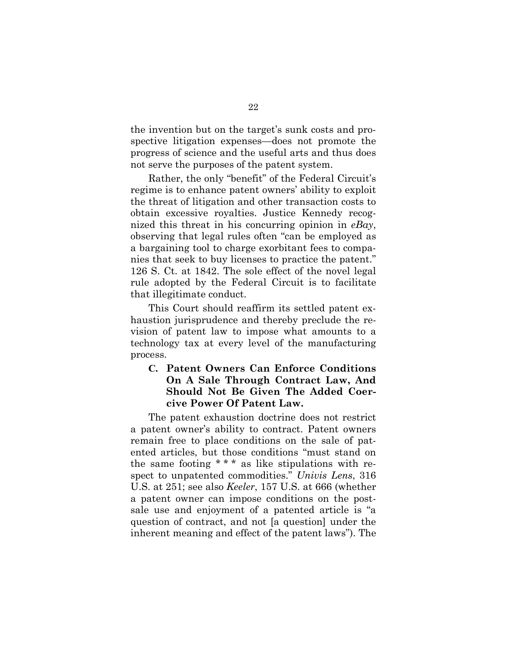the invention but on the target's sunk costs and prospective litigation expenses—does not promote the progress of science and the useful arts and thus does not serve the purposes of the patent system.

Rather, the only "benefit" of the Federal Circuit's regime is to enhance patent owners' ability to exploit the threat of litigation and other transaction costs to obtain excessive royalties. Justice Kennedy recognized this threat in his concurring opinion in  $eBay$ , observing that legal rules often "can be employed as a bargaining tool to charge exorbitant fees to companies that seek to buy licenses to practice the patent." 126 S. Ct. at 1842. The sole effect of the novel legal rule adopted by the Federal Circuit is to facilitate that illegitimate conduct.

This Court should reaffirm its settled patent exhaustion jurisprudence and thereby preclude the revision of patent law to impose what amounts to a technology tax at every level of the manufacturing process.

## C. Patent Owners Can Enforce Conditions On A Sale Through Contract Law, And Should Not Be Given The Added Coercive Power Of Patent Law.

The patent exhaustion doctrine does not restrict a patent owner's ability to contract. Patent owners remain free to place conditions on the sale of patented articles, but those conditions "must stand on the same footing  $**$  as like stipulations with respect to unpatented commodities." Univis Lens, 316 U.S. at 251; see also Keeler, 157 U.S. at 666 (whether a patent owner can impose conditions on the postsale use and enjoyment of a patented article is "a question of contract, and not [a question] under the inherent meaning and effect of the patent laws"). The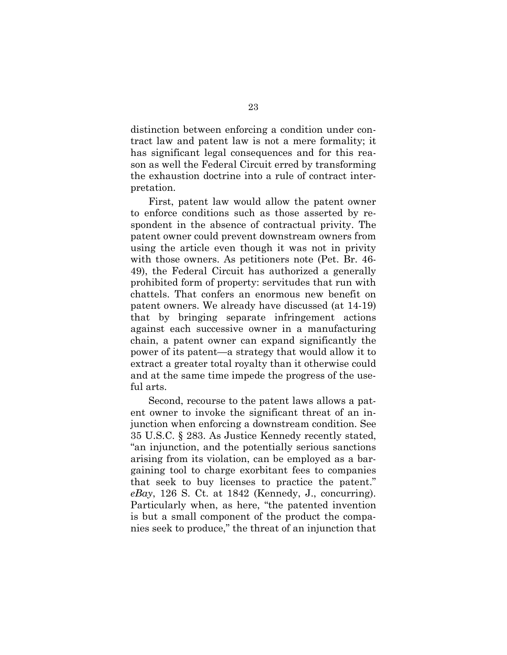distinction between enforcing a condition under contract law and patent law is not a mere formality; it has significant legal consequences and for this reason as well the Federal Circuit erred by transforming the exhaustion doctrine into a rule of contract interpretation.

First, patent law would allow the patent owner to enforce conditions such as those asserted by respondent in the absence of contractual privity. The patent owner could prevent downstream owners from using the article even though it was not in privity with those owners. As petitioners note (Pet. Br. 46- 49), the Federal Circuit has authorized a generally prohibited form of property: servitudes that run with chattels. That confers an enormous new benefit on patent owners. We already have discussed (at 14-19) that by bringing separate infringement actions against each successive owner in a manufacturing chain, a patent owner can expand significantly the power of its patent—a strategy that would allow it to extract a greater total royalty than it otherwise could and at the same time impede the progress of the useful arts.

Second, recourse to the patent laws allows a patent owner to invoke the significant threat of an injunction when enforcing a downstream condition. See 35 U.S.C. § 283. As Justice Kennedy recently stated, "an injunction, and the potentially serious sanctions arising from its violation, can be employed as a bargaining tool to charge exorbitant fees to companies that seek to buy licenses to practice the patent."  $e$ Bay, 126 S. Ct. at 1842 (Kennedy, J., concurring). Particularly when, as here, "the patented invention is but a small component of the product the companies seek to produce," the threat of an injunction that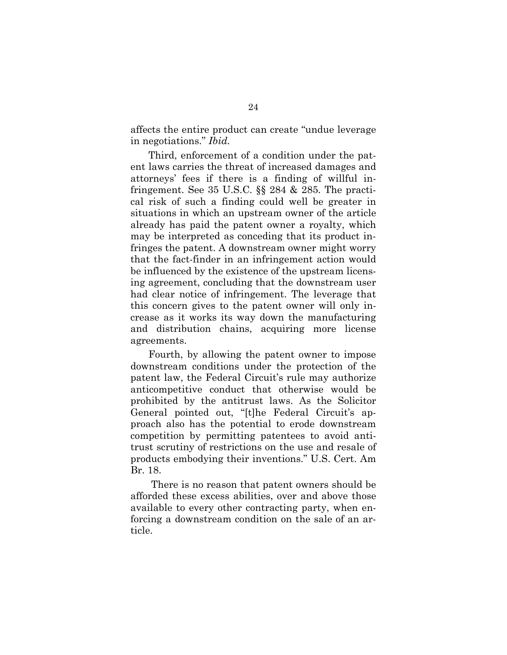affects the entire product can create "undue leverage in negotiations." Ibid.

Third, enforcement of a condition under the patent laws carries the threat of increased damages and attorneys' fees if there is a finding of willful infringement. See 35 U.S.C. §§ 284 & 285. The practical risk of such a finding could well be greater in situations in which an upstream owner of the article already has paid the patent owner a royalty, which may be interpreted as conceding that its product infringes the patent. A downstream owner might worry that the fact-finder in an infringement action would be influenced by the existence of the upstream licensing agreement, concluding that the downstream user had clear notice of infringement. The leverage that this concern gives to the patent owner will only increase as it works its way down the manufacturing and distribution chains, acquiring more license agreements.

Fourth, by allowing the patent owner to impose downstream conditions under the protection of the patent law, the Federal Circuit's rule may authorize anticompetitive conduct that otherwise would be prohibited by the antitrust laws. As the Solicitor General pointed out, "[t]he Federal Circuit's approach also has the potential to erode downstream competition by permitting patentees to avoid antitrust scrutiny of restrictions on the use and resale of products embodying their inventions." U.S. Cert. Am Br. 18.

 There is no reason that patent owners should be afforded these excess abilities, over and above those available to every other contracting party, when enforcing a downstream condition on the sale of an article.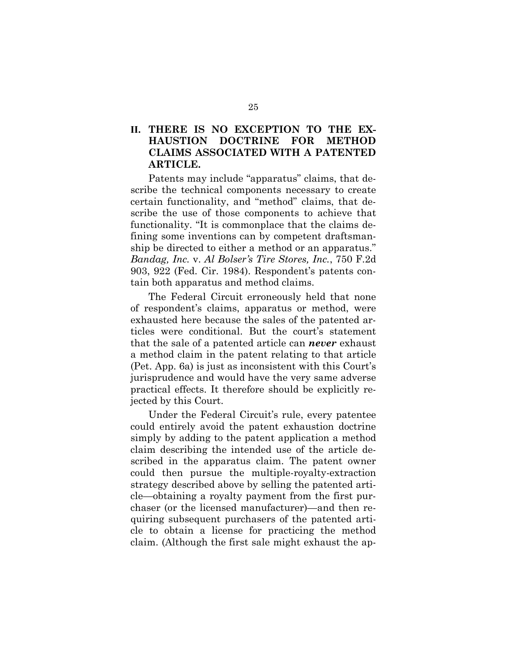## II. THERE IS NO EXCEPTION TO THE EX-HAUSTION DOCTRINE FOR METHOD CLAIMS ASSOCIATED WITH A PATENTED ARTICLE.

Patents may include "apparatus" claims, that describe the technical components necessary to create certain functionality, and "method" claims, that describe the use of those components to achieve that functionality. "It is commonplace that the claims defining some inventions can by competent draftsmanship be directed to either a method or an apparatus." Bandag, Inc. v. Al Bolser's Tire Stores, Inc., 750 F.2d 903, 922 (Fed. Cir. 1984). Respondent's patents contain both apparatus and method claims.

The Federal Circuit erroneously held that none of respondent's claims, apparatus or method, were exhausted here because the sales of the patented articles were conditional. But the court's statement that the sale of a patented article can **never** exhaust a method claim in the patent relating to that article (Pet. App. 6a) is just as inconsistent with this Court's jurisprudence and would have the very same adverse practical effects. It therefore should be explicitly rejected by this Court.

Under the Federal Circuit's rule, every patentee could entirely avoid the patent exhaustion doctrine simply by adding to the patent application a method claim describing the intended use of the article described in the apparatus claim. The patent owner could then pursue the multiple-royalty-extraction strategy described above by selling the patented article—obtaining a royalty payment from the first purchaser (or the licensed manufacturer)—and then requiring subsequent purchasers of the patented article to obtain a license for practicing the method claim. (Although the first sale might exhaust the ap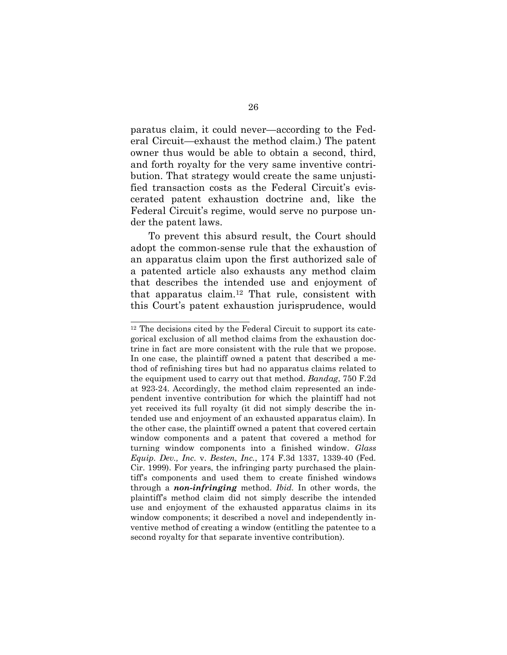paratus claim, it could never—according to the Federal Circuit—exhaust the method claim.) The patent owner thus would be able to obtain a second, third, and forth royalty for the very same inventive contribution. That strategy would create the same unjustified transaction costs as the Federal Circuit's eviscerated patent exhaustion doctrine and, like the Federal Circuit's regime, would serve no purpose under the patent laws.

To prevent this absurd result, the Court should adopt the common-sense rule that the exhaustion of an apparatus claim upon the first authorized sale of a patented article also exhausts any method claim that describes the intended use and enjoyment of that apparatus claim.12 That rule, consistent with this Court's patent exhaustion jurisprudence, would

<sup>12</sup> The decisions cited by the Federal Circuit to support its categorical exclusion of all method claims from the exhaustion doctrine in fact are more consistent with the rule that we propose. In one case, the plaintiff owned a patent that described a method of refinishing tires but had no apparatus claims related to the equipment used to carry out that method. Bandag, 750 F.2d at 923-24. Accordingly, the method claim represented an independent inventive contribution for which the plaintiff had not yet received its full royalty (it did not simply describe the intended use and enjoyment of an exhausted apparatus claim). In the other case, the plaintiff owned a patent that covered certain window components and a patent that covered a method for turning window components into a finished window. Glass Equip. Dev., Inc. v. Besten, Inc., 174 F.3d 1337, 1339-40 (Fed. Cir. 1999). For years, the infringing party purchased the plaintiff's components and used them to create finished windows through a **non-infringing** method. *Ibid*. In other words, the plaintiff's method claim did not simply describe the intended use and enjoyment of the exhausted apparatus claims in its window components; it described a novel and independently inventive method of creating a window (entitling the patentee to a second royalty for that separate inventive contribution).